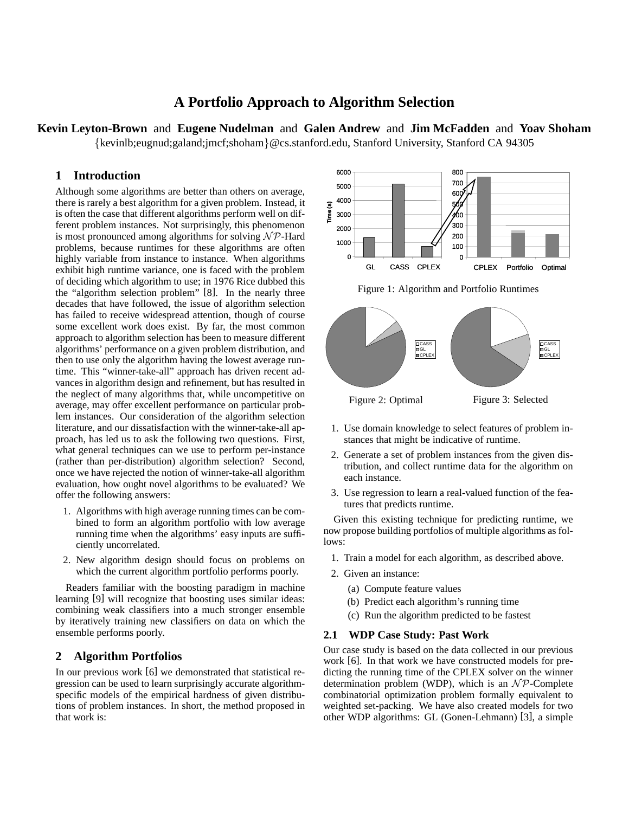# **A Portfolio Approach to Algorithm Selection**

**Kevin Leyton-Brown** and **Eugene Nudelman** and **Galen Andrew** and **Jim McFadden** and **Yoav Shoham** {kevinlb;eugnud;galand;jmcf;shoham}@cs.stanford.edu, Stanford University, Stanford CA 94305

### **1 Introduction**

Although some algorithms are better than others on average, there is rarely a best algorithm for a given problem. Instead, it is often the case that different algorithms perform well on different problem instances. Not surprisingly, this phenomenon is most pronounced among algorithms for solving  $N \mathcal{P}$ -Hard problems, because runtimes for these algorithms are often highly variable from instance to instance. When algorithms exhibit high runtime variance, one is faced with the problem of deciding which algorithm to use; in 1976 Rice dubbed this the "algorithm selection problem" [8]. In the nearly three decades that have followed, the issue of algorithm selection has failed to receive widespread attention, though of course some excellent work does exist. By far, the most common approach to algorithm selection has been to measure different algorithms' performance on a given problem distribution, and then to use only the algorithm having the lowest average runtime. This "winner-take-all" approach has driven recent advances in algorithm design and refinement, but has resulted in the neglect of many algorithms that, while uncompetitive on average, may offer excellent performance on particular problem instances. Our consideration of the algorithm selection literature, and our dissatisfaction with the winner-take-all approach, has led us to ask the following two questions. First, what general techniques can we use to perform per-instance (rather than per-distribution) algorithm selection? Second, once we have rejected the notion of winner-take-all algorithm evaluation, how ought novel algorithms to be evaluated? We offer the following answers:

- 1. Algorithms with high average running times can be combined to form an algorithm portfolio with low average running time when the algorithms' easy inputs are sufficiently uncorrelated.
- 2. New algorithm design should focus on problems on which the current algorithm portfolio performs poorly.

Readers familiar with the boosting paradigm in machine learning [9] will recognize that boosting uses similar ideas: combining weak classifiers into a much stronger ensemble by iteratively training new classifiers on data on which the ensemble performs poorly.

## **2 Algorithm Portfolios**

In our previous work [6] we demonstrated that statistical regression can be used to learn surprisingly accurate algorithmspecific models of the empirical hardness of given distributions of problem instances. In short, the method proposed in that work is:



Figure 1: Algorithm and Portfolio Runtimes



- 1. Use domain knowledge to select features of problem instances that might be indicative of runtime.
- 2. Generate a set of problem instances from the given distribution, and collect runtime data for the algorithm on each instance.
- 3. Use regression to learn a real-valued function of the features that predicts runtime.

Given this existing technique for predicting runtime, we now propose building portfolios of multiple algorithms as follows:

- 1. Train a model for each algorithm, as described above.
- 2. Given an instance:
	- (a) Compute feature values
	- (b) Predict each algorithm's running time
	- (c) Run the algorithm predicted to be fastest

#### **2.1 WDP Case Study: Past Work**

Our case study is based on the data collected in our previous work [6]. In that work we have constructed models for predicting the running time of the CPLEX solver on the winner determination problem (WDP), which is an  $N \mathcal{P}$ -Complete combinatorial optimization problem formally equivalent to weighted set-packing. We have also created models for two other WDP algorithms: GL (Gonen-Lehmann) [3], a simple